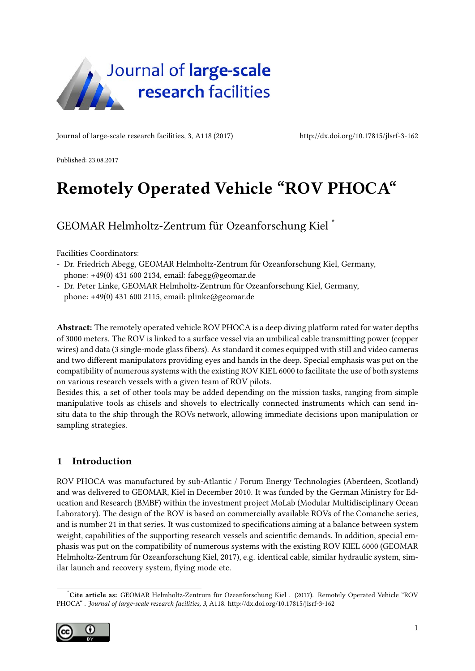<span id="page-0-1"></span>

Journal of large-scale research facilities, 3, A118 (2017)<http://dx.doi.org/10.17815/jlsrf-3-162>

Published: 23.08.2017

# Remotely Operated Vehicle "ROV PHOCA"

GEOMAR Helmholtz-Zentrum für Ozeanforschung Kiel [\\*](#page-0-0)

Facilities Coordinators:

- Dr. Friedrich Abegg, GEOMAR Helmholtz-Zentrum für Ozeanforschung Kiel, Germany, phone: +49(0) 431 600 2134, email: fabegg@geomar.de

- Dr. Peter Linke, GEOMAR Helmholtz-Zentrum für Ozeanforschung Kiel, Germany, phone: +49(0) 431 600 2115, email: plinke@geomar.de

Abstract: The remotely operated vehicle ROV PHOCA is a deep diving platform rated for water depths of 3000 meters. The ROV is linked to a surface vessel via an umbilical cable transmitting power (copper wires) and data (3 single-mode glass fibers). As standard it comes equipped with still and video cameras and two different manipulators providing eyes and hands in the deep. Special emphasis was put on the compatibility of numerous systems with the existing ROV KIEL 6000 to facilitate the use of both systems on various research vessels with a given team of ROV pilots.

Besides this, a set of other tools may be added depending on the mission tasks, ranging from simple manipulative tools as chisels and shovels to electrically connected instruments which can send insitu data to the ship through the ROVs network, allowing immediate decisions upon manipulation or sampling strategies.

# 1 Introduction

ROV PHOCA was manufactured by sub-Atlantic / Forum Energy Technologies (Aberdeen, Scotland) and was delivered to GEOMAR, Kiel in December 2010. It was funded by the German Ministry for Education and Research (BMBF) within the investment project MoLab (Modular Multidisciplinary Ocean Laboratory). The design of the ROV is based on commercially available ROVs of the Comanche series, and is number 21 in that series. It was customized to specifications aiming at a balance between system weight, capabilities of the supporting research vessels and scientific demands. In addition, special emphasis was put on the compatibility of numerous systems with the existing ROV KIEL 6000 [\(GEOMAR](#page-5-0) [Helmholtz-Zentrum für Ozeanforschung Kiel, 2017\)](#page-5-0), e.g. identical cable, similar hydraulic system, similar launch and recovery system, flying mode etc.

<span id="page-0-0"></span><sup>\*</sup>Cite article as: GEOMAR Helmholtz-Zentrum für Ozeanforschung Kiel . (2017). Remotely Operated Vehicle "ROV PHOCA" . Journal of large-scale research facilities, 3, A118.<http://dx.doi.org/10.17815/jlsrf-3-162>

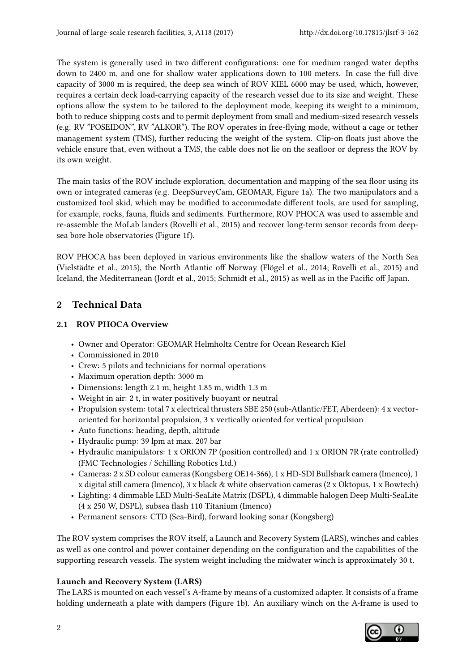The system is generally used in two different configurations: one for medium ranged water depths down to 2400 m, and one for shallow water applications down to 100 meters. In case the full dive capacity of 3000 m is required, the deep sea winch of ROV KIEL 6000 may be used, which, however, requires a certain deck load-carrying capacity of the research vessel due to its size and weight. These options allow the system to be tailored to the deployment mode, keeping its weight to a minimum, both to reduce shipping costs and to permit deployment from small and medium-sized research vessels (e.g. RV "POSEIDON", RV "ALKOR"). The ROV operates in free-flying mode, without a cage or tether management system (TMS), further reducing the weight of the system. Clip-on floats just above the vehicle ensure that, even without a TMS, the cable does not lie on the seafloor or depress the ROV by its own weight.

The main tasks of the ROV include exploration, documentation and mapping of the sea floor using its own or integrated cameras (e.g. DeepSurveyCam, GEOMAR, [Figure 1a](#page-4-0)). The two manipulators and a customized tool skid, which may be modified to accommodate different tools, are used for sampling, for example, rocks, fauna, fluids and sediments. Furthermore, ROV PHOCA was used to assemble and re-assemble the MoLab landers [\(Rovelli et al., 2015\)](#page-5-1) and recover long-term sensor records from deepsea bore hole observatories [\(Figure 1f](#page-4-0)).

ROV PHOCA has been deployed in various environments like the shallow waters of the North Sea [\(Vielstädte et al., 2015\)](#page-5-2), the North Atlantic off Norway [\(Flögel et al., 2014;](#page-5-3) [Rovelli et al., 2015\)](#page-5-1) and Iceland, the Mediterranean [\(Jordt et al., 2015;](#page-5-4) [Schmidt et al., 2015\)](#page-5-5) as well as in the Pacific off Japan.

# 2 Technical Data

## 2.1 ROV PHOCA Overview

- Owner and Operator: GEOMAR Helmholtz Centre for Ocean Research Kiel
- Commissioned in 2010
- Crew: 5 pilots and technicians for normal operations
- Maximum operation depth: 3000 m
- Dimensions: length 2.1 m, height 1.85 m, width 1.3 m
- Weight in air: 2 t, in water positively buoyant or neutral
- Propulsion system: total 7 x electrical thrusters SBE 250 (sub-Atlantic/FET, Aberdeen): 4 x vectororiented for horizontal propulsion, 3 x vertically oriented for vertical propulsion
- Auto functions: heading, depth, altitude
- Hydraulic pump: 39 lpm at max. 207 bar
- Hydraulic manipulators: 1 x ORION 7P (position controlled) and 1 x ORION 7R (rate controlled) (FMC Technologies / Schilling Robotics Ltd.)
- Cameras: 2 x SD colour cameras (Kongsberg OE14-366), 1 x HD-SDI Bullshark camera (Imenco), 1 x digital still camera (Imenco), 3 x black & white observation cameras (2 x Oktopus, 1 x Bowtech)
- Lighting: 4 dimmable LED Multi-SeaLite Matrix (DSPL), 4 dimmable halogen Deep Multi-SeaLite (4 x 250 W, DSPL), subsea flash 110 Titanium (Imenco)
- Permanent sensors: CTD (Sea-Bird), forward looking sonar (Kongsberg)

The ROV system comprises the ROV itself, a Launch and Recovery System (LARS), winches and cables as well as one control and power container depending on the configuration and the capabilities of the supporting research vessels. The system weight including the midwater winch is approximately 30 t.

# Launch and Recovery System (LARS)

The LARS is mounted on each vessel's A-frame by means of a customized adapter. It consists of a frame holding underneath a plate with dampers [\(Figure 1b](#page-4-0)). An auxiliary winch on the A-frame is used to

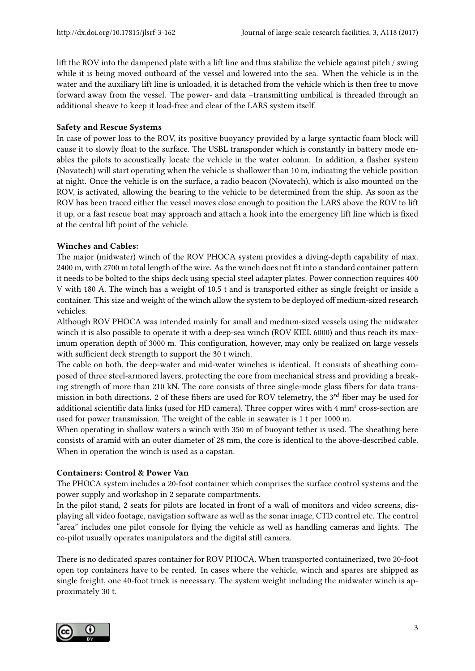lift the ROV into the dampened plate with a lift line and thus stabilize the vehicle against pitch / swing while it is being moved outboard of the vessel and lowered into the sea. When the vehicle is in the water and the auxiliary lift line is unloaded, it is detached from the vehicle which is then free to move forward away from the vessel. The power- and data –transmitting umbilical is threaded through an additional sheave to keep it load-free and clear of the LARS system itself.

#### Safety and Rescue Systems

In case of power loss to the ROV, its positive buoyancy provided by a large syntactic foam block will cause it to slowly float to the surface. The USBL transponder which is constantly in battery mode enables the pilots to acoustically locate the vehicle in the water column. In addition, a flasher system (Novatech) will start operating when the vehicle is shallower than 10 m, indicating the vehicle position at night. Once the vehicle is on the surface, a radio beacon (Novatech), which is also mounted on the ROV, is activated, allowing the bearing to the vehicle to be determined from the ship. As soon as the ROV has been traced either the vessel moves close enough to position the LARS above the ROV to lift it up, or a fast rescue boat may approach and attach a hook into the emergency lift line which is fixed at the central lift point of the vehicle.

#### Winches and Cables:

The major (midwater) winch of the ROV PHOCA system provides a diving-depth capability of max. 2400 m, with 2700 m total length of the wire. As the winch does not fit into a standard container pattern it needs to be bolted to the ships deck using special steel adapter plates. Power connection requires 400 V with 180 A. The winch has a weight of 10.5 t and is transported either as single freight or inside a container. This size and weight of the winch allow the system to be deployed off medium-sized research vehicles.

Although ROV PHOCA was intended mainly for small and medium-sized vessels using the midwater winch it is also possible to operate it with a deep-sea winch (ROV KIEL 6000) and thus reach its maximum operation depth of 3000 m. This configuration, however, may only be realized on large vessels with sufficient deck strength to support the 30 t winch.

The cable on both, the deep-water and mid-water winches is identical. It consists of sheathing composed of three steel-armored layers, protecting the core from mechanical stress and providing a breaking strength of more than 210 kN. The core consists of three single-mode glass fibers for data transmission in both directions. 2 of these fibers are used for ROV telemetry, the 3<sup>rd</sup> fiber may be used for additional scientific data links (used for HD camera). Three copper wires with 4 mm<sup>2</sup> cross-section are used for power transmission. The weight of the cable in seawater is 1 t per 1000 m.

When operating in shallow waters a winch with 350 m of buoyant tether is used. The sheathing here consists of aramid with an outer diameter of 28 mm, the core is identical to the above-described cable. When in operation the winch is used as a capstan.

## Containers: Control & Power Van

The PHOCA system includes a 20-foot container which comprises the surface control systems and the power supply and workshop in 2 separate compartments.

In the pilot stand, 2 seats for pilots are located in front of a wall of monitors and video screens, displaying all video footage, navigation software as well as the sonar image, CTD control etc. The control "area" includes one pilot console for flying the vehicle as well as handling cameras and lights. The co-pilot usually operates manipulators and the digital still camera.

There is no dedicated spares container for ROV PHOCA. When transported containerized, two 20-foot open top containers have to be rented. In cases where the vehicle, winch and spares are shipped as single freight, one 40-foot truck is necessary. The system weight including the midwater winch is approximately 30 t.

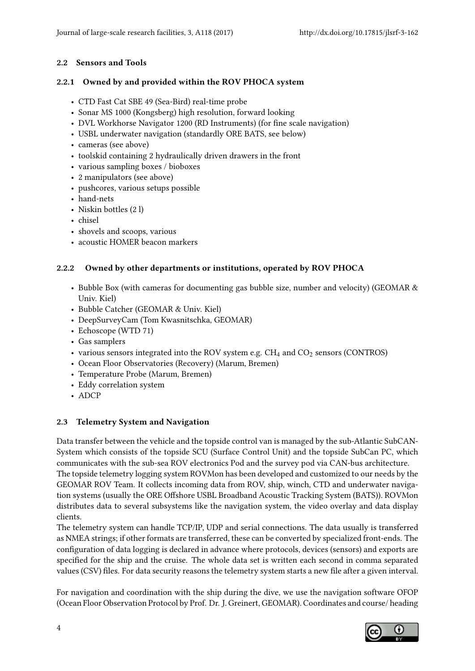#### 2.2 Sensors and Tools

#### 2.2.1 Owned by and provided within the ROV PHOCA system

- CTD Fast Cat SBE 49 (Sea-Bird) real-time probe
- Sonar MS 1000 (Kongsberg) high resolution, forward looking
- DVL Workhorse Navigator 1200 (RD Instruments) (for fine scale navigation)
- USBL underwater navigation (standardly ORE BATS, see below)
- cameras (see above)
- toolskid containing 2 hydraulically driven drawers in the front
- various sampling boxes / bioboxes
- 2 manipulators (see above)
- pushcores, various setups possible
- hand-nets
- Niskin bottles (2 l)
- chisel
- shovels and scoops, various
- acoustic HOMER beacon markers

## 2.2.2 Owned by other departments or institutions, operated by ROV PHOCA

- Bubble Box (with cameras for documenting gas bubble size, number and velocity) (GEOMAR & Univ. Kiel)
- Bubble Catcher (GEOMAR & Univ. Kiel)
- DeepSurveyCam (Tom Kwasnitschka, GEOMAR)
- Echoscope (WTD 71)
- Gas samplers
- various sensors integrated into the ROV system e.g.  $CH_4$  and  $CO_2$  sensors (CONTROS)
- Ocean Floor Observatories (Recovery) (Marum, Bremen)
- Temperature Probe (Marum, Bremen)
- Eddy correlation system
- ADCP

## 2.3 Telemetry System and Navigation

Data transfer between the vehicle and the topside control van is managed by the sub-Atlantic SubCAN-System which consists of the topside SCU (Surface Control Unit) and the topside SubCan PC, which communicates with the sub-sea ROV electronics Pod and the survey pod via CAN-bus architecture. The topside telemetry logging system ROVMon has been developed and customized to our needs by the GEOMAR ROV Team. It collects incoming data from ROV, ship, winch, CTD and underwater navigation systems (usually the ORE Offshore USBL Broadband Acoustic Tracking System (BATS)). ROVMon distributes data to several subsystems like the navigation system, the video overlay and data display clients.

The telemetry system can handle TCP/IP, UDP and serial connections. The data usually is transferred as NMEA strings; if other formats are transferred, these can be converted by specialized front-ends. The configuration of data logging is declared in advance where protocols, devices (sensors) and exports are specified for the ship and the cruise. The whole data set is written each second in comma separated values (CSV) files. For data security reasons the telemetry system starts a new file after a given interval.

For navigation and coordination with the ship during the dive, we use the navigation software OFOP (Ocean Floor Observation Protocol by Prof. Dr. J. Greinert, GEOMAR). Coordinates and course/ heading

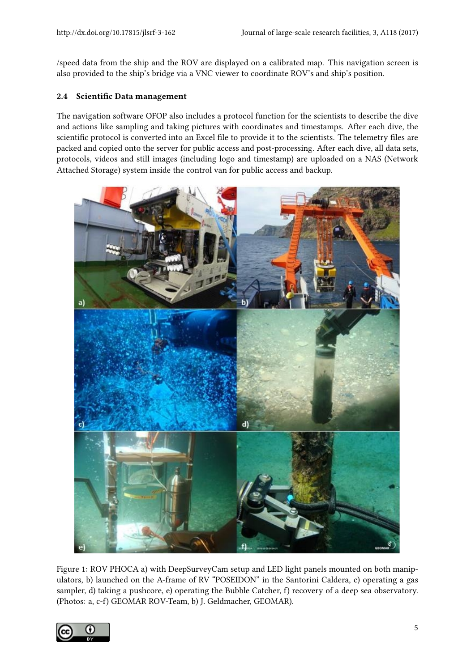/speed data from the ship and the ROV are displayed on a calibrated map. This navigation screen is also provided to the ship's bridge via a VNC viewer to coordinate ROV's and ship's position.

#### 2.4 Scientific Data management

The navigation software OFOP also includes a protocol function for the scientists to describe the dive and actions like sampling and taking pictures with coordinates and timestamps. After each dive, the scientific protocol is converted into an Excel file to provide it to the scientists. The telemetry files are packed and copied onto the server for public access and post-processing. After each dive, all data sets, protocols, videos and still images (including logo and timestamp) are uploaded on a NAS (Network Attached Storage) system inside the control van for public access and backup.



<span id="page-4-0"></span>Figure 1: ROV PHOCA a) with DeepSurveyCam setup and LED light panels mounted on both manipulators, b) launched on the A-frame of RV "POSEIDON" in the Santorini Caldera, c) operating a gas sampler, d) taking a pushcore, e) operating the Bubble Catcher, f) recovery of a deep sea observatory. (Photos: a, c-f) GEOMAR ROV-Team, b) J. Geldmacher, GEOMAR).